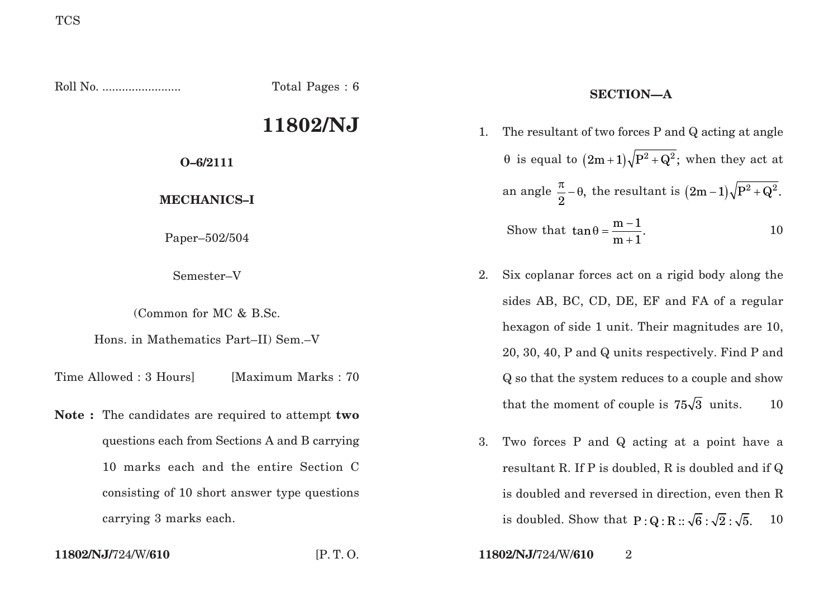Roll No. ........................ Total Pages : 6 **11802/NJ O–6/2111 MECHANICS–I** Paper–502/504 Semester–V (Common for MC & B.Sc. Hons. in Mathematics Part–II) Sem.–V Time Allowed : 3 Hours [Maximum Marks : 70] **Note :** The candidates are required to attempt **two** questions each from Sections A and B carrying **SECTION—A** 1. The resultant of two forces P and Q acting at angle θ is equal to  $(2m+1)\sqrt{P^2+Q^2}$ ; when they act at an angle  $\frac{\pi}{2} - \theta$ , the resultant is  $(2m - 1)\sqrt{P^2 + Q^2}$ . Show that  $\tan \theta = \frac{m-1}{m+1}$ . 10 2. Six coplanar forces act on a rigid body along the sides AB, BC, CD, DE, EF and FA of a regular hexagon of side 1 unit. Their magnitudes are 10, 20, 30, 40, P and Q units respectively. Find P and Q so that the system reduces to a couple and show that the moment of couple is  $75\sqrt{3}$  units. 10 3. Two forces P and Q acting at a point have a

resultant R. If P is doubled, R is doubled and if Q is doubled and reversed in direction, even then R is doubled. Show that  $P: Q: R :: \sqrt{6} : \sqrt{2} : \sqrt{5}$ . 10

carrying 3 marks each.

10 marks each and the entire Section C

consisting of 10 short answer type questions

**11802/NJ/**724/W/**610** [P. T. O. **11802/NJ/**724/W/**610** 2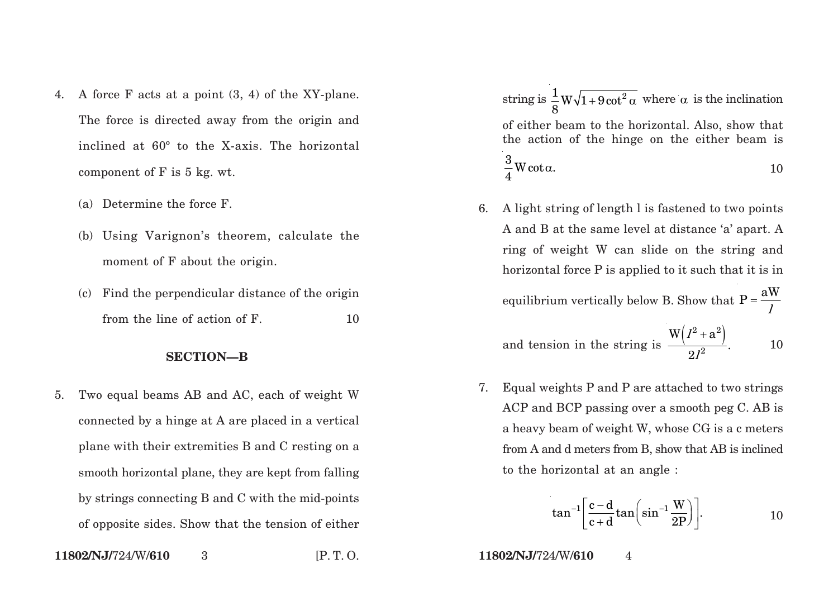- 4. A force F acts at a point (3, 4) of the XY-plane. The force is directed away from the origin and inclined at 60º to the X-axis. The horizontal component of F is 5 kg. wt.
	- (a) Determine the force F.
	- (b) Using Varignon's theorem, calculate the moment of F about the origin.
	- (c) Find the perpendicular distance of the origin from the line of action of F. 10

## **SECTION—B**

5. Two equal beams AB and AC, each of weight W connected by a hinge at A are placed in a vertical plane with their extremities B and C resting on a smooth horizontal plane, they are kept from falling by strings connecting B and C with the mid-points of opposite sides. Show that the tension of either

 $\text{string is } \frac{1}{2} \text{W} \sqrt{1+9 \cot^2}$ 8  $+9\cot^2\alpha$  where  $\alpha$  is the inclination of either beam to the horizontal. Also, show that the action of the hinge on the either beam is  $\frac{3}{2}$ W cot  $\alpha.$ 4  $\alpha$ . 10

6. A light string of length l is fastened to two points A and B at the same level at distance 'a' apart. A ring of weight W can slide on the string and horizontal force P is applied to it such that it is in

equilibrium vertically below B. Show that 
$$
P = \frac{aW}{l}
$$

and tension in the string is 
$$
\frac{W(I^2 + a^2)}{2I^2}
$$
. 10

7. Equal weights P and P are attached to two strings ACP and BCP passing over a smooth peg C. AB is a heavy beam of weight W, whose CG is a c meters from A and d meters from B, show that AB is inclined to the horizontal at an angle :

$$
\tan^{-1}\left[\frac{c-d}{c+d}\tan\left(\sin^{-1}\frac{W}{2P}\right)\right].
$$
 10